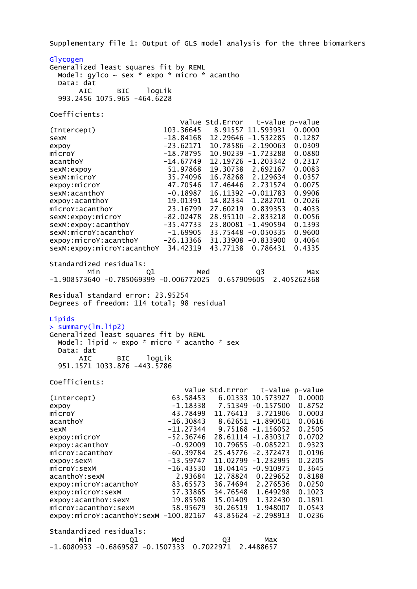Supplementary file 1: Output of GLS model analysis for the three biomarkers Glycogen Generalized least squares fit by REML Model: gylco  $\sim$  sex  $*$  expo  $*$  micro  $*$  acantho Data: dat AIC BIC logLik 993.2456 1075.965 -464.6228 Coefficients: Value Std.Error t-value p-value (Intercept) 103.36645 8.91557 11.593931 0.0000 sexM -18.84168 12.29646 -1.532285 0.1287 expoy -23.62171 10.78586 -2.190063 0.0309 microY -18.78795 10.90239 -1.723288 0.0880 acanthoY -14.67749 12.19726 -1.203342 0.2317 sexM:expoy 51.97868 19.30738 2.692167 0.0083 sexM:microY 35.74096 16.78268 2.129634 0.0357 expoy:microY 47.70546 17.46446 2.731574 0.0075 sexM:acanthoY -0.18987 16.11392 -0.011783 0.9906 expoy:acanthoY 19.01391 14.82334 1.282701 0.2026 microY:acanthoY 23.16799 27.60219 0.839353 0.4033 sexM:expoy:microY -82.02478 28.95110 -2.833218 0.0056<br>sexM:expoy:acanthoY -35.47733 23.80081 -1.490594 0.1393 -35.47733 23.80081 -1.490594 0.1393 sexM:microY:acanthoY -1.69905 33.75448 -0.050335 0.9600<br>expoy:microY:acanthoY -26.13366 31.33908 -0.833900 0.4064 expoy:microY:acanthoY -26.13366 31.33908 -0.833900 0.4064 sexM:expoy:microY:acanthoY 34.42319 43.77138 0.786431 0.4335 Standardized residuals: Min Q1 Med Q3 Max -1.908573640 -0.785069399 -0.006772025 0.657909605 2.405262368 Residual standard error: 23.95254 Degrees of freedom: 114 total; 98 residual Lipids > summary(lm.lip2) Generalized least squares fit by REML Model: lipid  $\sim$  expo  $*$  micro  $*$  acantho  $*$  sex Data: dat AIC BIC logLik 951.1571 1033.876 -443.5786 Coefficients: Value Std.Error t-value p-value (Intercept) 63.58453 6.01333 10.573927 0.0000 expoy -1.18338 7.51349 -0.157500 0.8752 microY 43.78499 11.76413 3.721906 0.0003 acanthoY -16.30843 8.62651 -1.890501 0.0616 sexM -11.27344 9.75168 -1.156052 0.2505 expoy:microY -52.36746 28.61114 -1.830317 0.0702 expoy:acanthoY -0.92009 10.79655 -0.085221 0.9323 microY:acanthoY -60.39784 25.45776 -2.372473 0.0196 expoy:sexM -13.59747 11.02799 -1.232995 0.2205 microY:sexM -16.43530 18.04145 -0.910975 0.3645 acanthoY:sexM 2.93684 12.78824 0.229652 0.8188 expoy:microY:acanthoY 83.65573 36.74694 2.276536 0.0250 expoy:microY:sexM 57.33865 34.76548 1.649298 0.1023 expoy:acanthoY:sexM 19.85508 15.01409 1.322430 0.1891 microY:acanthoY:sexM 58.95679 30.26519 1.948007 0.0543 expoy:microY:acanthoY:sexM -100.82167 43.85624 -2.298913 0.0236 Standardized residuals: Min Q1 Med Q3 Max -1.6080933 -0.6869587 -0.1507333 0.7022971 2.4488657